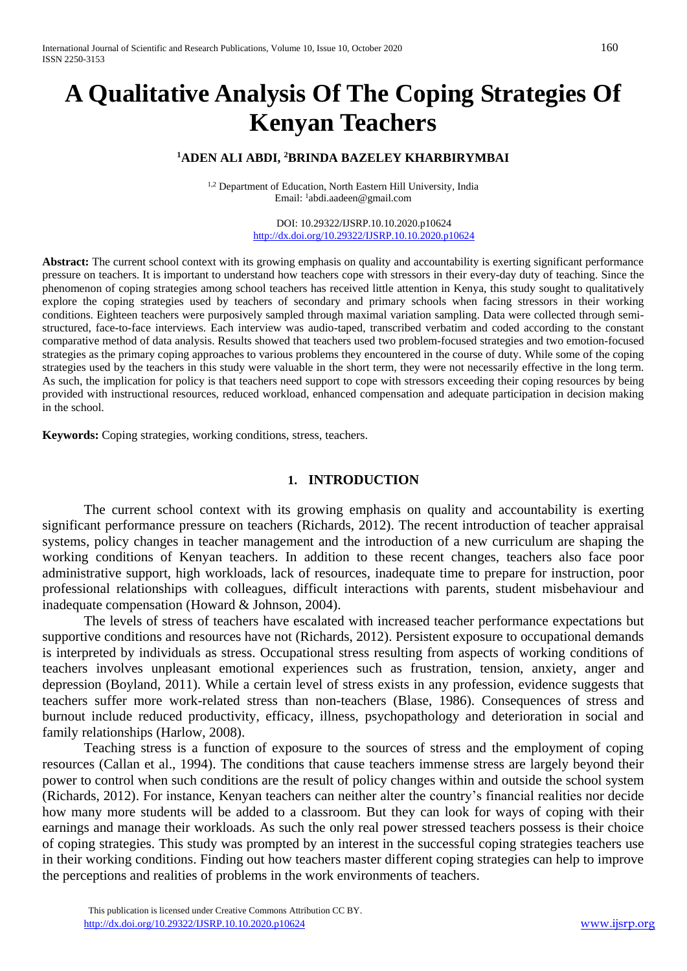# **A Qualitative Analysis Of The Coping Strategies Of Kenyan Teachers**

## **<sup>1</sup>ADEN ALI ABDI, <sup>2</sup>BRINDA BAZELEY KHARBIRYMBAI**

<sup>1,2</sup> Department of Education, North Eastern Hill University, India Email: <sup>1</sup> abdi.aadeen@gmail.com

> DOI: 10.29322/IJSRP.10.10.2020.p10624 <http://dx.doi.org/10.29322/IJSRP.10.10.2020.p10624>

Abstract: The current school context with its growing emphasis on quality and accountability is exerting significant performance pressure on teachers. It is important to understand how teachers cope with stressors in their every-day duty of teaching. Since the phenomenon of coping strategies among school teachers has received little attention in Kenya, this study sought to qualitatively explore the coping strategies used by teachers of secondary and primary schools when facing stressors in their working conditions. Eighteen teachers were purposively sampled through maximal variation sampling. Data were collected through semistructured, face-to-face interviews. Each interview was audio-taped, transcribed verbatim and coded according to the constant comparative method of data analysis. Results showed that teachers used two problem-focused strategies and two emotion-focused strategies as the primary coping approaches to various problems they encountered in the course of duty. While some of the coping strategies used by the teachers in this study were valuable in the short term, they were not necessarily effective in the long term. As such, the implication for policy is that teachers need support to cope with stressors exceeding their coping resources by being provided with instructional resources, reduced workload, enhanced compensation and adequate participation in decision making in the school.

**Keywords:** Coping strategies, working conditions, stress, teachers.

#### **1. INTRODUCTION**

The current school context with its growing emphasis on quality and accountability is exerting significant performance pressure on teachers (Richards, 2012). The recent introduction of teacher appraisal systems, policy changes in teacher management and the introduction of a new curriculum are shaping the working conditions of Kenyan teachers. In addition to these recent changes, teachers also face poor administrative support, high workloads, lack of resources, inadequate time to prepare for instruction, poor professional relationships with colleagues, difficult interactions with parents, student misbehaviour and inadequate compensation (Howard & Johnson, 2004).

The levels of stress of teachers have escalated with increased teacher performance expectations but supportive conditions and resources have not (Richards, 2012). Persistent exposure to occupational demands is interpreted by individuals as stress. Occupational stress resulting from aspects of working conditions of teachers involves unpleasant emotional experiences such as frustration, tension, anxiety, anger and depression (Boyland, 2011). While a certain level of stress exists in any profession, evidence suggests that teachers suffer more work-related stress than non-teachers (Blase, 1986). Consequences of stress and burnout include reduced productivity, efficacy, illness, psychopathology and deterioration in social and family relationships (Harlow, 2008).

Teaching stress is a function of exposure to the sources of stress and the employment of coping resources (Callan et al., 1994). The conditions that cause teachers immense stress are largely beyond their power to control when such conditions are the result of policy changes within and outside the school system (Richards, 2012). For instance, Kenyan teachers can neither alter the country's financial realities nor decide how many more students will be added to a classroom. But they can look for ways of coping with their earnings and manage their workloads. As such the only real power stressed teachers possess is their choice of coping strategies. This study was prompted by an interest in the successful coping strategies teachers use in their working conditions. Finding out how teachers master different coping strategies can help to improve the perceptions and realities of problems in the work environments of teachers.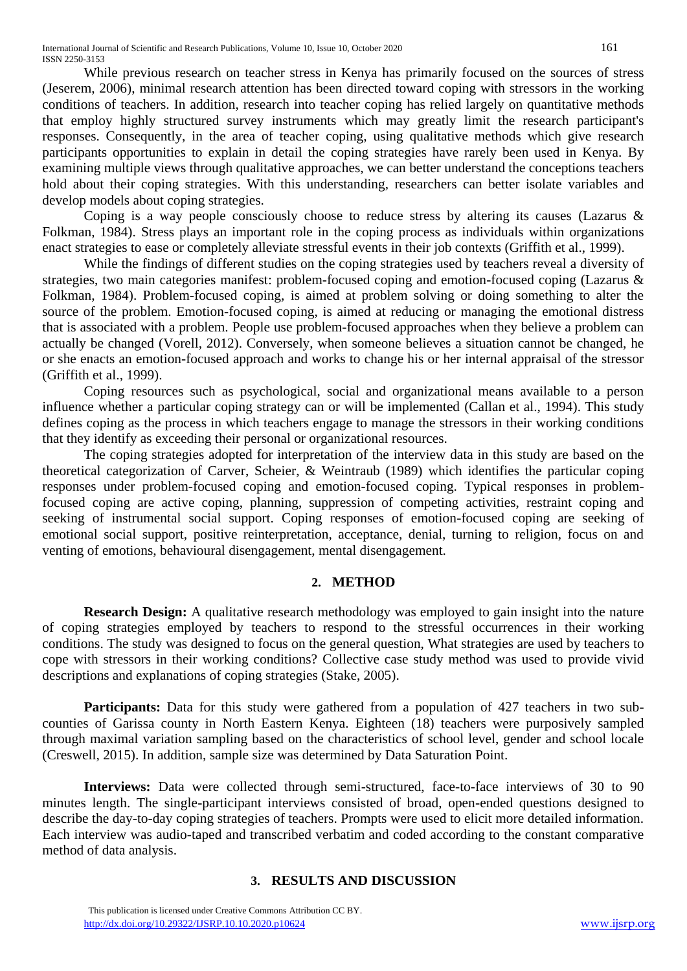While previous research on teacher stress in Kenya has primarily focused on the sources of stress (Jeserem, 2006), minimal research attention has been directed toward coping with stressors in the working conditions of teachers. In addition, research into teacher coping has relied largely on quantitative methods that employ highly structured survey instruments which may greatly limit the research participant's responses. Consequently, in the area of teacher coping, using qualitative methods which give research participants opportunities to explain in detail the coping strategies have rarely been used in Kenya. By examining multiple views through qualitative approaches, we can better understand the conceptions teachers hold about their coping strategies. With this understanding, researchers can better isolate variables and develop models about coping strategies.

Coping is a way people consciously choose to reduce stress by altering its causes (Lazarus & Folkman, 1984). Stress plays an important role in the coping process as individuals within organizations enact strategies to ease or completely alleviate stressful events in their job contexts (Griffith et al., 1999).

While the findings of different studies on the coping strategies used by teachers reveal a diversity of strategies, two main categories manifest: problem-focused coping and emotion-focused coping (Lazarus & Folkman, 1984). Problem-focused coping, is aimed at problem solving or doing something to alter the source of the problem. Emotion-focused coping, is aimed at reducing or managing the emotional distress that is associated with a problem. People use problem-focused approaches when they believe a problem can actually be changed (Vorell, 2012). Conversely, when someone believes a situation cannot be changed, he or she enacts an emotion-focused approach and works to change his or her internal appraisal of the stressor (Griffith et al., 1999).

Coping resources such as psychological, social and organizational means available to a person influence whether a particular coping strategy can or will be implemented (Callan et al., 1994). This study defines coping as the process in which teachers engage to manage the stressors in their working conditions that they identify as exceeding their personal or organizational resources.

The coping strategies adopted for interpretation of the interview data in this study are based on the theoretical categorization of Carver, Scheier, & Weintraub (1989) which identifies the particular coping responses under problem-focused coping and emotion-focused coping. Typical responses in problemfocused coping are active coping, planning, suppression of competing activities, restraint coping and seeking of instrumental social support. Coping responses of emotion-focused coping are seeking of emotional social support, positive reinterpretation, acceptance, denial, turning to religion, focus on and venting of emotions, behavioural disengagement, mental disengagement.

### **2. METHOD**

**Research Design:** A qualitative research methodology was employed to gain insight into the nature of coping strategies employed by teachers to respond to the stressful occurrences in their working conditions. The study was designed to focus on the general question, What strategies are used by teachers to cope with stressors in their working conditions? Collective case study method was used to provide vivid descriptions and explanations of coping strategies (Stake, 2005).

**Participants:** Data for this study were gathered from a population of 427 teachers in two subcounties of Garissa county in North Eastern Kenya. Eighteen (18) teachers were purposively sampled through maximal variation sampling based on the characteristics of school level, gender and school locale (Creswell, 2015). In addition, sample size was determined by Data Saturation Point.

**Interviews:** Data were collected through semi-structured, face-to-face interviews of 30 to 90 minutes length. The single-participant interviews consisted of broad, open-ended questions designed to describe the day-to-day coping strategies of teachers. Prompts were used to elicit more detailed information. Each interview was audio-taped and transcribed verbatim and coded according to the constant comparative method of data analysis.

## **3. RESULTS AND DISCUSSION**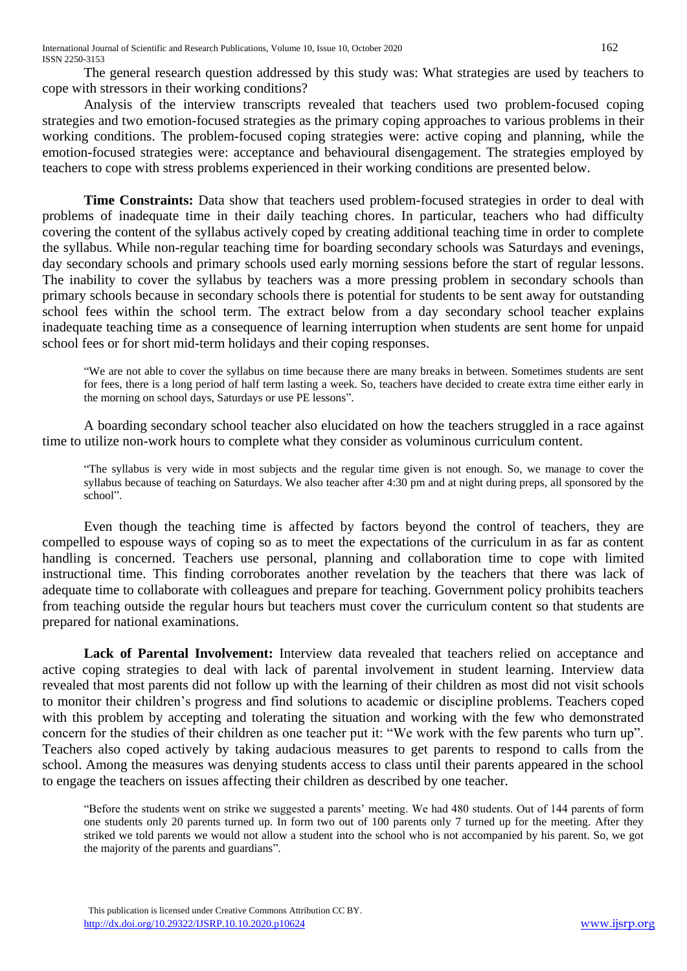The general research question addressed by this study was: What strategies are used by teachers to cope with stressors in their working conditions?

Analysis of the interview transcripts revealed that teachers used two problem-focused coping strategies and two emotion-focused strategies as the primary coping approaches to various problems in their working conditions. The problem-focused coping strategies were: active coping and planning, while the emotion-focused strategies were: acceptance and behavioural disengagement. The strategies employed by teachers to cope with stress problems experienced in their working conditions are presented below.

**Time Constraints:** Data show that teachers used problem-focused strategies in order to deal with problems of inadequate time in their daily teaching chores. In particular, teachers who had difficulty covering the content of the syllabus actively coped by creating additional teaching time in order to complete the syllabus. While non-regular teaching time for boarding secondary schools was Saturdays and evenings, day secondary schools and primary schools used early morning sessions before the start of regular lessons. The inability to cover the syllabus by teachers was a more pressing problem in secondary schools than primary schools because in secondary schools there is potential for students to be sent away for outstanding school fees within the school term. The extract below from a day secondary school teacher explains inadequate teaching time as a consequence of learning interruption when students are sent home for unpaid school fees or for short mid-term holidays and their coping responses.

"We are not able to cover the syllabus on time because there are many breaks in between. Sometimes students are sent for fees, there is a long period of half term lasting a week. So, teachers have decided to create extra time either early in the morning on school days, Saturdays or use PE lessons".

A boarding secondary school teacher also elucidated on how the teachers struggled in a race against time to utilize non-work hours to complete what they consider as voluminous curriculum content.

"The syllabus is very wide in most subjects and the regular time given is not enough. So, we manage to cover the syllabus because of teaching on Saturdays. We also teacher after 4:30 pm and at night during preps, all sponsored by the school".

Even though the teaching time is affected by factors beyond the control of teachers, they are compelled to espouse ways of coping so as to meet the expectations of the curriculum in as far as content handling is concerned. Teachers use personal, planning and collaboration time to cope with limited instructional time. This finding corroborates another revelation by the teachers that there was lack of adequate time to collaborate with colleagues and prepare for teaching. Government policy prohibits teachers from teaching outside the regular hours but teachers must cover the curriculum content so that students are prepared for national examinations.

**Lack of Parental Involvement:** Interview data revealed that teachers relied on acceptance and active coping strategies to deal with lack of parental involvement in student learning. Interview data revealed that most parents did not follow up with the learning of their children as most did not visit schools to monitor their children's progress and find solutions to academic or discipline problems. Teachers coped with this problem by accepting and tolerating the situation and working with the few who demonstrated concern for the studies of their children as one teacher put it: "We work with the few parents who turn up". Teachers also coped actively by taking audacious measures to get parents to respond to calls from the school. Among the measures was denying students access to class until their parents appeared in the school to engage the teachers on issues affecting their children as described by one teacher.

"Before the students went on strike we suggested a parents' meeting. We had 480 students. Out of 144 parents of form one students only 20 parents turned up. In form two out of 100 parents only 7 turned up for the meeting. After they striked we told parents we would not allow a student into the school who is not accompanied by his parent. So, we got the majority of the parents and guardians".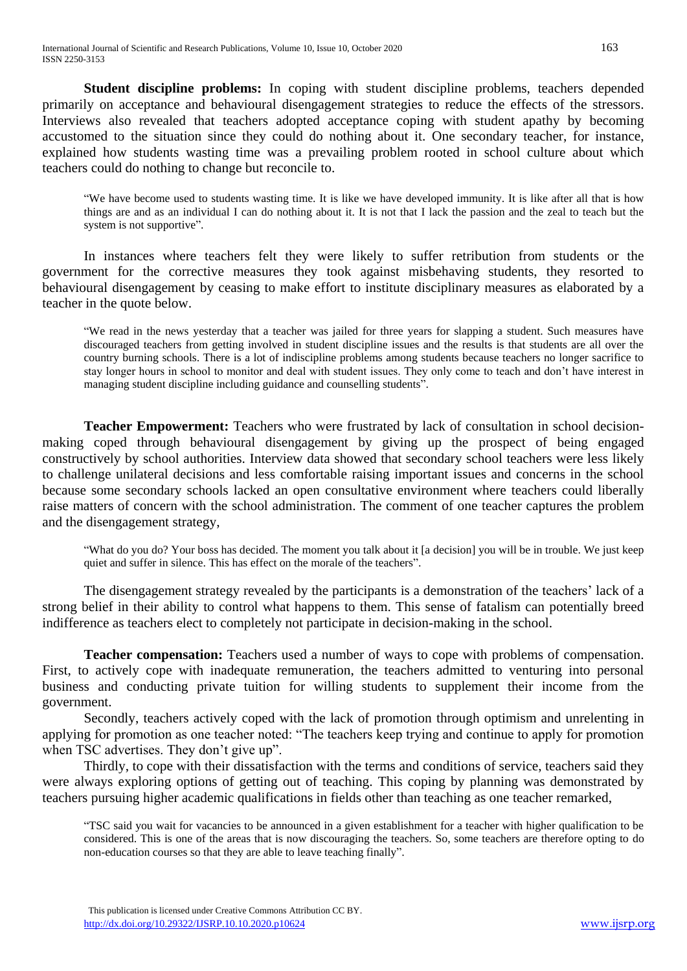**Student discipline problems:** In coping with student discipline problems, teachers depended primarily on acceptance and behavioural disengagement strategies to reduce the effects of the stressors. Interviews also revealed that teachers adopted acceptance coping with student apathy by becoming accustomed to the situation since they could do nothing about it. One secondary teacher, for instance, explained how students wasting time was a prevailing problem rooted in school culture about which teachers could do nothing to change but reconcile to.

"We have become used to students wasting time. It is like we have developed immunity. It is like after all that is how things are and as an individual I can do nothing about it. It is not that I lack the passion and the zeal to teach but the system is not supportive".

In instances where teachers felt they were likely to suffer retribution from students or the government for the corrective measures they took against misbehaving students, they resorted to behavioural disengagement by ceasing to make effort to institute disciplinary measures as elaborated by a teacher in the quote below.

"We read in the news yesterday that a teacher was jailed for three years for slapping a student. Such measures have discouraged teachers from getting involved in student discipline issues and the results is that students are all over the country burning schools. There is a lot of indiscipline problems among students because teachers no longer sacrifice to stay longer hours in school to monitor and deal with student issues. They only come to teach and don't have interest in managing student discipline including guidance and counselling students".

**Teacher Empowerment:** Teachers who were frustrated by lack of consultation in school decisionmaking coped through behavioural disengagement by giving up the prospect of being engaged constructively by school authorities. Interview data showed that secondary school teachers were less likely to challenge unilateral decisions and less comfortable raising important issues and concerns in the school because some secondary schools lacked an open consultative environment where teachers could liberally raise matters of concern with the school administration. The comment of one teacher captures the problem and the disengagement strategy,

"What do you do? Your boss has decided. The moment you talk about it [a decision] you will be in trouble. We just keep quiet and suffer in silence. This has effect on the morale of the teachers".

The disengagement strategy revealed by the participants is a demonstration of the teachers' lack of a strong belief in their ability to control what happens to them. This sense of fatalism can potentially breed indifference as teachers elect to completely not participate in decision-making in the school.

**Teacher compensation:** Teachers used a number of ways to cope with problems of compensation. First, to actively cope with inadequate remuneration, the teachers admitted to venturing into personal business and conducting private tuition for willing students to supplement their income from the government.

Secondly, teachers actively coped with the lack of promotion through optimism and unrelenting in applying for promotion as one teacher noted: "The teachers keep trying and continue to apply for promotion when TSC advertises. They don't give up".

Thirdly, to cope with their dissatisfaction with the terms and conditions of service, teachers said they were always exploring options of getting out of teaching. This coping by planning was demonstrated by teachers pursuing higher academic qualifications in fields other than teaching as one teacher remarked,

"TSC said you wait for vacancies to be announced in a given establishment for a teacher with higher qualification to be considered. This is one of the areas that is now discouraging the teachers. So, some teachers are therefore opting to do non-education courses so that they are able to leave teaching finally".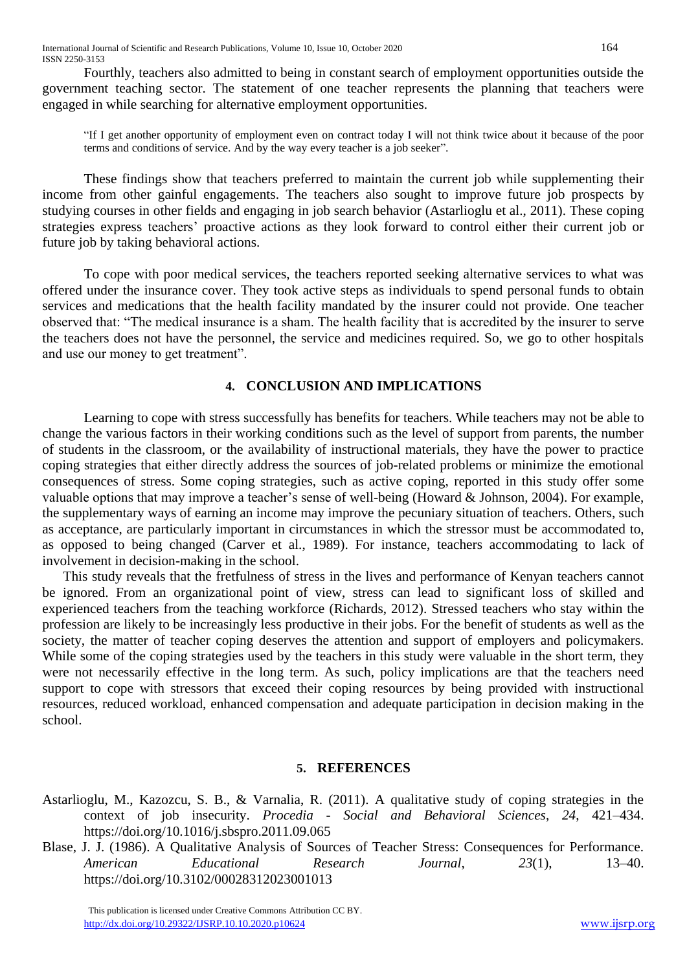Fourthly, teachers also admitted to being in constant search of employment opportunities outside the government teaching sector. The statement of one teacher represents the planning that teachers were engaged in while searching for alternative employment opportunities.

"If I get another opportunity of employment even on contract today I will not think twice about it because of the poor terms and conditions of service. And by the way every teacher is a job seeker".

These findings show that teachers preferred to maintain the current job while supplementing their income from other gainful engagements. The teachers also sought to improve future job prospects by studying courses in other fields and engaging in job search behavior (Astarlioglu et al., 2011). These coping strategies express teachers' proactive actions as they look forward to control either their current job or future job by taking behavioral actions.

To cope with poor medical services, the teachers reported seeking alternative services to what was offered under the insurance cover. They took active steps as individuals to spend personal funds to obtain services and medications that the health facility mandated by the insurer could not provide. One teacher observed that: "The medical insurance is a sham. The health facility that is accredited by the insurer to serve the teachers does not have the personnel, the service and medicines required. So, we go to other hospitals and use our money to get treatment".

## **4. CONCLUSION AND IMPLICATIONS**

Learning to cope with stress successfully has benefits for teachers. While teachers may not be able to change the various factors in their working conditions such as the level of support from parents, the number of students in the classroom, or the availability of instructional materials, they have the power to practice coping strategies that either directly address the sources of job-related problems or minimize the emotional consequences of stress. Some coping strategies, such as active coping, reported in this study offer some valuable options that may improve a teacher's sense of well-being (Howard & Johnson, 2004). For example, the supplementary ways of earning an income may improve the pecuniary situation of teachers. Others, such as acceptance, are particularly important in circumstances in which the stressor must be accommodated to, as opposed to being changed (Carver et al., 1989). For instance, teachers accommodating to lack of involvement in decision-making in the school.

This study reveals that the fretfulness of stress in the lives and performance of Kenyan teachers cannot be ignored. From an organizational point of view, stress can lead to significant loss of skilled and experienced teachers from the teaching workforce (Richards, 2012). Stressed teachers who stay within the profession are likely to be increasingly less productive in their jobs. For the benefit of students as well as the society, the matter of teacher coping deserves the attention and support of employers and policymakers. While some of the coping strategies used by the teachers in this study were valuable in the short term, they were not necessarily effective in the long term. As such, policy implications are that the teachers need support to cope with stressors that exceed their coping resources by being provided with instructional resources, reduced workload, enhanced compensation and adequate participation in decision making in the school.

### **5. REFERENCES**

- Astarlioglu, M., Kazozcu, S. B., & Varnalia, R. (2011). A qualitative study of coping strategies in the context of job insecurity. *Procedia - Social and Behavioral Sciences*, *24*, 421–434. https://doi.org/10.1016/j.sbspro.2011.09.065
- Blase, J. J. (1986). A Qualitative Analysis of Sources of Teacher Stress: Consequences for Performance. *American Educational Research Journal*, *23*(1), 13–40. https://doi.org/10.3102/00028312023001013